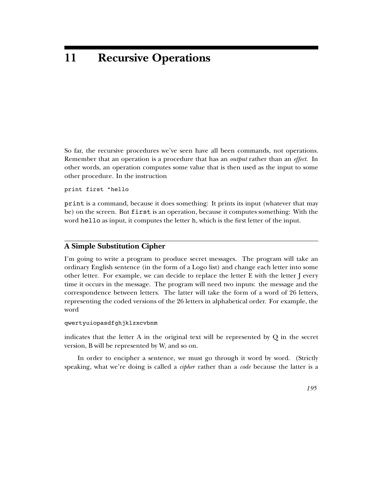# **11 Recursive Operations**

Remember that an operation is a procedure that has an *output* rather than an *effect*. In So far, the recursive procedures we've seen have all been commands, not operations. other words, an operation computes some value that is then used as the input to some other procedure. In the instruction

print first "hello

print is a command, because it does something: It prints its input (whatever that may be) on the screen. But first is an operation, because it computes something: With the word h**ello** as input, it computes the letter **h**, which is the first letter of the input.

## **A Simple Substitution Cipher**

I'm going to write a program to produce secret messages. The program will take an ordinary English sentence (in the form of a Logo list) and change each letter into some other letter. For example, we can decide to replace the letter E with the letter J every time it occurs in the message. The program will need two inputs: the message and the correspondence between letters. The latter will take the form of a word of 26 letters, representing the coded versions of the 26 letters in alphabetical order. For example, the word

qwertyuiopasdfghjklzxcvbnm

indicates that the letter A in the original text will be represented by  $Q$  in the secret version, B will be represented by W, and so on.

speaking, what we're doing is called a *cipher* rather than a *code* because the latter is a In order to encipher a sentence, we must go through it word by word. (Strictly

*195*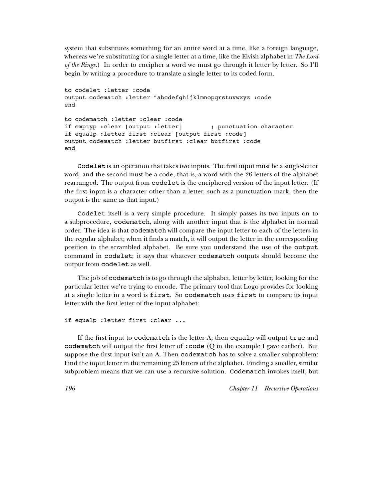whereas we're substituting for a single letter at a time, like the Elvish alphabet in *The Lord of the Rings.* ) In order to encipher a word we must go through it letter by letter. So I'll system that substitutes something for an entire word at a time, like a foreign language, begin by writing a procedure to translate a single letter to its coded form.

```
to codelet :letter :code
output codematch :letter "abcdefghijklmnopqrstuvwxyz :code
end
to codematch :letter :clear :code
if emptyp :clear [output :letter] ; punctuation character
if equalp :letter first :clear [output first :code]
output codematch :letter butfirst :clear butfirst :code
end
```
Codelet is an operation that takes two inputs. The first input must be a single-letter rearranged. The output from codelet is the enciphered version of the input letter. (If word, and the second must be a code, that is, a word with the 26 letters of the alphabet the first input is a character other than a letter, such as a punctuation mark, then the output is the same as that input.)

Codelet itself is a very simple procedure. It simply passes its two inputs on to a subprocedure, codematch, along with another input that is the alphabet in normal order. The idea is that codematch will compare the input letter to each of the letters in position in the scrambled alphabet. Be sure you understand the use of the output command in codelet; it says that whatever codematch outputs should become the output from codelet as well. the regular alphabet; when it finds a match, it will output the letter in the corresponding

The job of **codematch** is to go through the alphabet, letter by letter, looking for the at a single letter in a word is first. So codematch uses first to compare its input particular letter we're trying to encode. The primary tool that Logo provides for looking letter with the first letter of the input alphabet:

```
if equalp :letter first :clear ...
```
If the first input to  $\verb|codematch|$  is the letter A, then  $\verb|equalp|$  will output  $\tt true$  and codematch will output the first letter of : code  $(Q$  in the example I gave earlier). But suppose the first input isn't an A. Then codematch has to solve a smaller subproblem: subproblem means that we can use a recursive solution. Codematch invokes itself, but Find the input letter in the remaining 25 letters of the alphabet. Finding a smaller, similar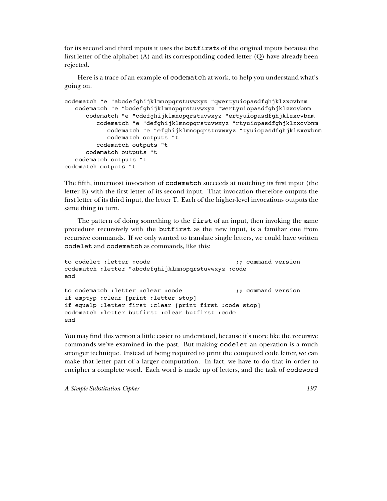for its second and third inputs it uses the butfirsts of the original inputs because the first letter of the alphabet  $(A)$  and its corresponding coded letter  $(Q)$  have already been rejected.

Here is a trace of an example of  $\sf codematch$  at work, to help you understand what's going on.

```
codematch "e "abcdefghijklmnopqrstuvwxyz "qwertyuiopasdfghjklzxcvbnm
  codematch "e "bcdefghijklmnopqrstuvwxyz "wertyuiopasdfghjklzxcvbnm
     codematch "e "cdefghijklmnopqrstuvwxyz "ertyuiopasdfghjklzxcvbnm
         codematch "e "defghijklmnopqrstuvwxyz "rtyuiopasdfghjklzxcvbnm
           codematch "e "efghijklmnopqrstuvwxyz "tyuiopasdfghjklzxcvbnm
           codematch outputs "t
        codematch outputs "t
     codematch outputs "t
  codematch outputs "t
codematch outputs "t
```
The fifth, innermost invocation of  $\verb|codematch|$  succeeds at matching its first input (the letter E) with the first letter of its second input. That invocation therefore outputs the first letter of its third input, the letter T. Each of the higher-level invocations outputs the same thing in turn.

The pattern of doing something to the first of an input, then invoking the same procedure recursively with the butfirst as the new input, is a familiar one from codelet and codematch as commands, like this: recursive commands. If we only wanted to translate single letters, we could have written

```
to codelet : letter : code \hspace{1.5cm} ; command version
codematch :letter "abcdefghijklmnopqrstuvwxyz :code
end
to codematch : letter : clear : code \hspace{1.6cm} ; command version
if emptyp :clear [print :letter stop]
if equalp :letter first :clear [print first :code stop]
codematch :letter butfirst :clear butfirst :code
end
```
commands we've examined in the past. But making codelet an operation is a much encipher a complete word. Each word is made up of letters, and the task of codeword You may find this version a little easier to understand, because it's more like the recursive stronger technique. Instead of being required to print the computed code letter, we can make that letter part of a larger computation. In fact, we have to do that in order to

*A Simple Substitution Cipher 197*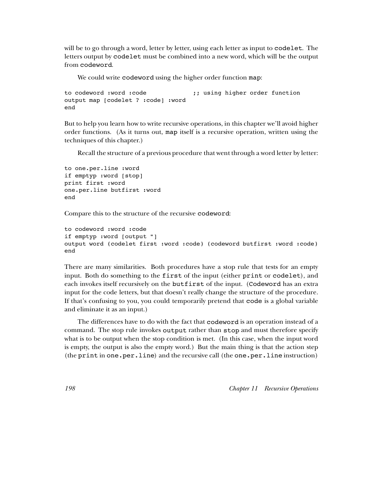will be to go through a word, letter by letter, using each letter as input to <code>codelet</code>. The letters output by  $\verb|codelet|$  must be combined into a new word, which will be the output from codeword.

We could write **codeword** using the higher order function map:

```
to codeword :word :code ; ;; using higher order function
output map [codelet ? :code] :word
end
```
order functions. (As it turns out, map itself is a recursive operation, written using the But to help you learn how to write recursive operations, in this chapter we'll avoid higher techniques of this chapter.)

Recall the structure of a previous procedure that went through a word letter by letter:

```
to one.per.line :word
if emptyp :word [stop]
print first :word
one.per.line butfirst :word
end
```
Compare this to the structure of the recursive codeword:

```
to codeword :word :code
if emptyp :word [output "]
output word (codelet first :word :code) (codeword butfirst :word :code)
end
```
input. Both do something to the first of the input (either print or codelet), and each invokes itself recursively on the butfirst of the input. (Codeword has an extra If that's confusing to you, you could temporarily pretend that  $\verb|code|$  is a global variable There are many similarities. Both procedures have a stop rule that tests for an empty input for the code letters, but that doesn't really change the structure of the procedure. and eliminate it as an input.)

The differences have to do with the fact that codeword is an operation instead of a command. The stop rule invokes output rather than stop and must therefore specify (the print in one.per.line) and the recursive call (the one.per.line instruction) what is to be output when the stop condition is met. (In this case, when the input word is empty, the output is also the empty word.) But the main thing is that the action step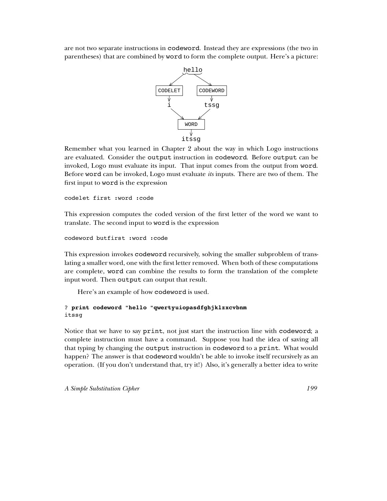are not two separate instructions in codeword. Instead they are expressions (the two in parentheses) that are combined by **word** to form the complete output. Here's a picture:



Before word can be invoked, Logo must evaluate *its* inputs. There are two of them. The are evaluated. Consider the output instruction in codeword. Before output can be invoked, Logo must evaluate its input. That input comes from the output from word. first input to word is the expression Remember what you learned in Chapter 2 about the way in which Logo instructions

codelet first :word :code

translate. The second input to word is the expression This expression computes the coded version of the first letter of the word we want to

```
codeword butfirst :word :code
```
This expression invokes codeword recursively, solving the smaller subproblem of transare complete, word can combine the results to form the translation of the complete input word. Then output can output that result. lating a smaller word, one with the first letter removed. When both of these computations

Here's an example of how codeword is used.

## **print codeword "hello "qwertyuiopasdfghjklzxcvbnm** ? itssg

Notice that we have to say print, not just start the instruction line with codeword; a that typing by changing the output instruction in codeword to a print. What would happen? The answer is that  $\mathsf{codeword}$  wouldn't be able to invoke itself recursively as an complete instruction must have a command. Suppose you had the idea of saving all operation. (If you don't understand that, try it!) Also, it's generally a better idea to write

*A Simple Substitution Cipher 199*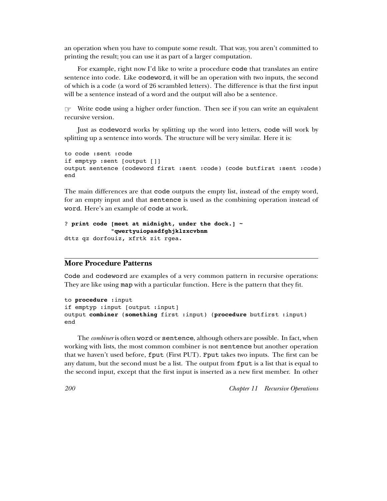an operation when you have to compute some result. That way, you aren't committed to printing the result; you can use it as part of a larger computation.

For example, right now I'd like to write a procedure code that translates an entire sentence into code. Like codeword, it will be an operation with two inputs, the second of which is a code (a word of 26 scrambled letters). The difference is that the first input will be a sentence instead of a word and the output will also be a sentence.

☞ code Write using a higher order function. Then see if you can write an equivalent recursive version.

Just as codeword works by splitting up the word into letters, code will work by splitting up a sentence into words. The structure will be very similar. Here it is:

```
to code :sent :code
if emptyp :sent [output []]
output sentence (codeword first :sent :code) (code butfirst :sent :code)
end
```
The main differences are that code outputs the empty list, instead of the empty word, for an empty input and that sentence is used as the combining operation instead of word. Here's an example of code at work.

```
print code [meet at midnight, under the dock.] ~
?
             "qwertyuiopasdfghjklzxcvbnm
dttz qz dorfouiz, xfrtk zit rgea.
```
# **More Procedure Patterns**

Code and codeword are examples of a very common pattern in recursive operations: They are like using map with a particular function. Here is the pattern that they fit.

```
to procedure :input
output combiner (something first :input) (procedure butfirst :input)
if emptyp :input [output :input]
end
```
The combiner is often word or sentence, although others are possible. In fact, when working with lists, the most common combiner is not sentence but another operation that we haven't used before, fput (First PUT). Fput takes two inputs. The first can be any datum, but the second must be a list. The output from  $\mathtt{fput}$  is a list that is equal to the second input, except that the first input is inserted as a new first member. In other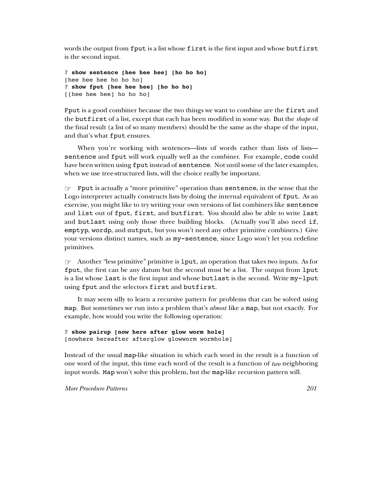words the output from <code>fput</code> is a list whose <code>first</code> is the first input and whose <code>butfirst</code> is the second input.

```
?
show sentence [hee hee hee] [ho ho ho]
[hee hee ho ho ho]
?
show fput [hee hee hee] [ho ho ho]
[[hee hee hee] ho ho ho]
```
the butfirst of a list, except that each has been modified in some way. But the *shape* of Fput is a good combiner because the two things we want to combine are the  $\mathtt{first}$  and and that's what fput ensures. the final result (a list of so many members) should be the same as the shape of the input,

sentence and fput will work equally well as the combiner. For example, code could have been written using <code>fput</code> instead of <code>sentence</code>. Not until some of the later examples, When you're working with sentences—lists of words rather than lists of lists when we use tree-structured lists, will the choice really be important.

☞ Fput sentence is actually a "more primitive" operation than , in the sense that the Logo interpreter actually constructs lists by doing the internal equivalent of  $\tt fput.$  As an exercise, you might like to try writing your own versions of list combiners like <code>sentence</code> and list out of fput, first, and  $\texttt{butfirst}$ . You should also be able to write  $\texttt{last}$ and butlast using only those three building blocks. (Actually you'll also need if, emptyp, wordp, and output, but you won't need any other primitive combiners.) Give your versions distinct names, such as  $my$ –sentence, since Logo won't let you redefine primitives.

☞ lput Another "less primitive" primitive is , an operation that takes two inputs. As for fput, the first can be any datum but the second must be a list. The output from 1put is a list whose last is the first input and whose butlast is the second. Write my-lput using fput and the selectors first and butfirst.

map. But sometimes we run into a problem that's *almost* like a map, but not exactly. For It may seem silly to learn a recursive pattern for problems that can be solved using example, how would you write the following operation:

```
?
show pairup [now here after glow worm hole]
[nowhere hereafter afterglow glowworm wormhole]
```
one word of the input, this time each word of the result is a function of two neighboring Instead of the usual map-like situation in which each word in the result is a function of input words. Map won't solve this problem, but the map-like recursion pattern will.

*More Procedure Patterns 201*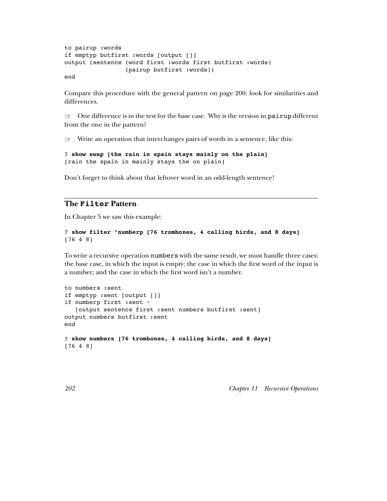```
to pairup :words
if emptyp butfirst :words [output []]
output (sentence (word first :words first butfirst :words)
                 (pairup butfirst :words))
end
```
Compare this procedure with the general pattern on page 200; look for similarities and differences.

☞ pairup One difference is in the test for the base case. Why is the version in different from the one in the pattern?

☞ Write an operation that interchanges pairs of words in a sentence, like this:

```
show swap [the rain in spain stays mainly on the plain]
?
[rain the spain in mainly stays the on plain]
```
Don't forget to think about that leftover word in an odd-length sentence!

# **The Filter Pattern**

In Chapter 5 we saw this example:

```
show filter "numberp [76 trombones, 4 calling birds, and 8 days]
?
[76 4 8]
```
To write a recursive operation numbers with the same result, we must handle three cases: the base case, in which the input is empty; the case in which the first word of the input is a number; and the case in which the first word isn't a number.

```
show numbers [76 trombones, 4 calling birds, and 8 days]
?
to numbers :sent
if emptyp :sent [output []]
if numberp first :sent ~
   [output sentence first :sent numbers butfirst :sent]
output numbers butfirst :sent
end
```
[76 4 8]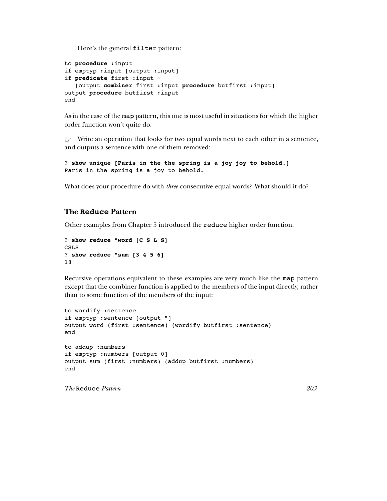Here's the general filter pattern:

```
to procedure : input
if predicate first : input ~
   [output combiner first :input procedure butfirst :input]
output procedure butfirst : input
if emptyp :input [output :input]
end
```
As in the case of the map pattern, this one is most useful in situations for which the higher order function won't quite do.

☞ Write an operation that looks for two equal words next to each other in a sentence, and outputs a sentence with one of them removed:

```
show unique [Paris in the the spring is a joy joy to behold.]
?
Paris in the spring is a joy to behold.
```
What does your procedure do with *three* consecutive equal words? What should it do?

## **The Reduce Pattern**

Other examples from Chapter 5 introduced the reduce higher order function.

```
show reduce "word [C S L S]
?
show reduce "sum [3 4 5 6]
?
CSLS
18
```
Recursive operations equivalent to these examples are very much like the map pattern except that the combiner function is applied to the members of the input directly, rather than to some function of the members of the input:

```
to wordify :sentence
if emptyp :sentence [output "]
output word (first :sentence) (wordify butfirst :sentence)
end
to addup :numbers
if emptyp :numbers [output 0]
output sum (first :numbers) (addup butfirst :numbers)
end
```
*The Pattern 203* Reduce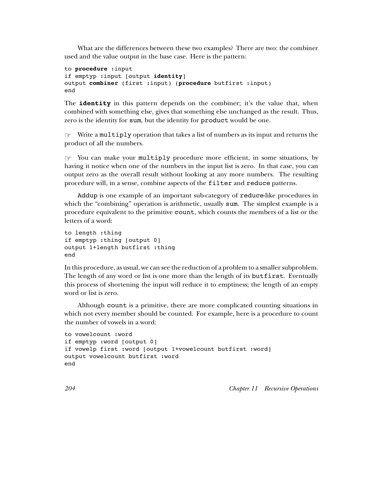What are the differences between these two examples? There are two: the combiner used and the value output in the base case. Here is the pattern:

```
to procedure : input
if emptyp : input [output identity]
output combiner (first :input) (procedure butfirst :input)
end
```
The **identity** in this pattern depends on the combiner; it's the value that, when zero is the identity for sum, but the identity for product would be one. combined with something else, gives that something else unchanged as the result. Thus,

☞ multiply Write a operation that takes a list of numbers as its input and returns the product of all the numbers.

☞ multiply You can make your procedure more efficient, in some situations, by procedure will, in a sense, combine aspects of the filter and reduce patterns. having it notice when one of the numbers in the input list is zero. In that case, you can output zero as the overall result without looking at any more numbers. The resulting

Addup is one example of an important sub-category of reduce-like procedures in which the "combining" operation is arithmetic, usually sum. The simplest example is a procedure equivalent to the primitive count, which counts the members of a list or the letters of a word:

```
to length :thing
if emptyp :thing [output 0]
output 1+length butfirst :thing
end
```
The length of any word or list is one more than the length of its butfirst. Eventually In this procedure, as usual, we can see the reduction of a problem to a smaller subproblem. this process of shortening the input will reduce it to emptiness; the length of an empty word or list is zero.

Although count is a primitive, there are more complicated counting situations in which not every member should be counted. For example, here is a procedure to count the number of vowels in a word:

```
to vowelcount :word
if emptyp :word [output 0]
if vowelp first :word [output 1+vowelcount butfirst :word]
output vowelcount butfirst :word
end
```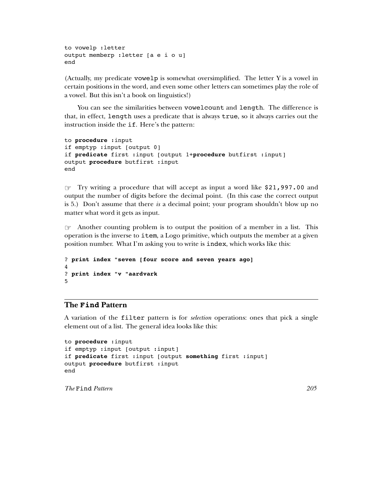```
to vowelp :letter
output memberp :letter [a e i o u]
end
```
(Actually, my predicate vowelp is somewhat oversimplified. The letter Y is a vowel in certain positions in the word, and even some other letters can sometimes play the role of a vowel. But this isn't a book on linguistics!)

You can see the similarities between vowelcount and length. The difference is that, in effect, length uses a predicate that is always true, so it always carries out the instruction inside the **if**. Here's the pattern:

```
to procedure :input
if predicate first :input [output 1+ procedure butfirst :input]
output procedure butfirst :input
if emptyp :input [output 0]
end
```
☞ \$21,997.00 Try writing a procedure that will accept as input a word like and is 5.) Don't assume that there *is* a decimal point; your program shouldn't blow up no output the number of digits before the decimal point. (In this case the correct output matter what word it gets as input.

☞ Another counting problem is to output the position of a member in a list. This operation is the inverse to item, a Logo primitive, which outputs the member at a given position number. What I'm asking you to write is **index**, which works like this:

```
print index "seven [four score and seven years ago]
?
print index "v "aardvark
?
4
5
```
# **The Find Pattern**

A variation of the filter pattern is for *selection* operations: ones that pick a single element out of a list. The general idea looks like this:

```
to procedure :input
if predicate first :input [output something first :input]
output procedure butfirst :input
if emptyp :input [output :input]
end
```
*The* **Find** *Pattern* 205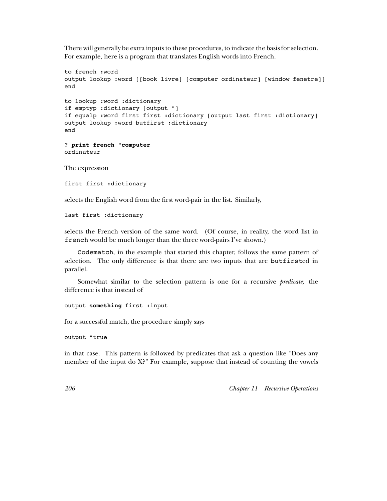There will generally be extra inputs to these procedures, to indicate the basis for selection. For example, here is a program that translates English words into French.

```
print french "computer
?
to french :word
output lookup :word [[book livre] [computer ordinateur] [window fenetre]]
end
to lookup :word :dictionary
if emptyp :dictionary [output "]
if equalp :word first first :dictionary [output last first :dictionary]
output lookup :word butfirst :dictionary
end
ordinateur
```
The expression

first first :dictionary

selects the English word from the first word-pair in the list. Similarly,

last first :dictionary

french would be much longer than the three word-pairs I've shown.) selects the French version of the same word. (Of course, in reality, the word list in

Codematch , in the example that started this chapter, follows the same pattern of selection. The only difference is that there are two inputs that are butfirsted in parallel.

Somewhat similar to the selection pattern is one for a recursive *predicate*; the difference is that instead of

output something first : input

for a successful match, the procedure simply says

output "true

in that case. This pattern is followed by predicates that ask a question like "Does any member of the input do X?" For example, suppose that instead of counting the vowels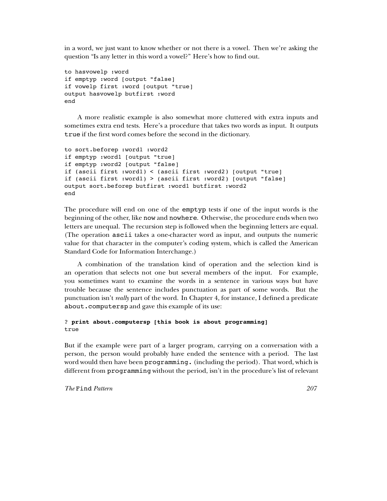in a word, we just want to know whether or not there is a vowel. Then we're asking the question "Is any letter in this word a vowel?" Here's how to find out.

```
to hasvowelp :word
if emptyp :word [output "false]
if vowelp first :word [output "true]
output hasvowelp butfirst :word
end
```
true if the first word comes before the second in the dictionary. A more realistic example is also somewhat more cluttered with extra inputs and sometimes extra end tests. Here's a procedure that takes two words as input. It outputs

```
to sort.beforep :word1 :word2
if emptyp :word1 [output "true]
if emptyp :word2 [output "false]
if (ascii first :word1) < (ascii first :word2) [output "true]
if (ascii first :word1) > (ascii first :word2) [output "false]
output sort.beforep butfirst :word1 butfirst :word2
end
```
The procedure will end on one of the emptyp tests if one of the input words is the beginning of the other, like now and nowhere. Otherwise, the procedure ends when two (The operation ascii takes a one-character word as input, and outputs the numeric letters are unequal. The recursion step is followed when the beginning letters are equal. value for that character in the computer's coding system, which is called the American Standard Code for Information Interchange.)

punctuation isn't *really* part of the word. In Chapter 4, for instance, I defined a predicate about. computersp and gave this example of its use: A combination of the translation kind of operation and the selection kind is an operation that selects not one but several members of the input. For example, you sometimes want to examine the words in a sentence in various ways but have trouble because the sentence includes punctuation as part of some words. But the

#### **print about.computersp [this book is about programming]** ? true

word would then have been  $\verb!programming. (including the period). That word, which is$ different from  $\verb!programming$  without the period, isn't in the procedure's list of relevant But if the example were part of a larger program, carrying on a conversation with a person, the person would probably have ended the sentence with a period. The last

*The* **Find** *Pattern* 207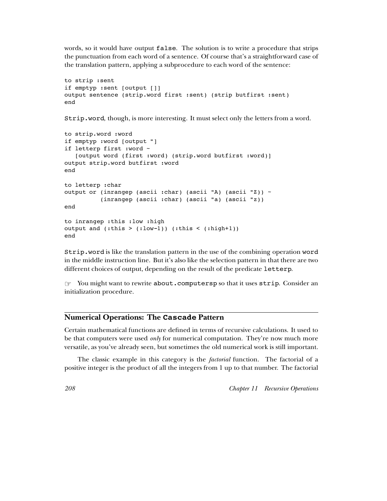words, so it would have output false. The solution is to write a procedure that strips the punctuation from each word of a sentence. Of course that's a straightforward case of the translation pattern, applying a subprocedure to each word of the sentence:

```
to strip :sent
if emptyp :sent [output []]
output sentence (strip.word first :sent) (strip butfirst :sent)
end
```
Strip.word , though, is more interesting. It must select only the letters from a word.

```
to strip.word :word
if emptyp :word [output "]
if letterp first :word ~
   [output word (first :word) (strip.word butfirst :word)]
output strip.word butfirst :word
end
to letterp :char
output or (inrangep (ascii :char) (ascii "A) (ascii "Z)) ~
          (inrangep (ascii :char) (ascii "a) (ascii "z))
end
to inrangep :this :low :high
output and (:this >(:low-1)) (:this <(:high+1))end
```
Strip. word is like the translation pattern in the use of the combining operation word different choices of output, depending on the result of the predicate letterp. in the middle instruction line. But it's also like the selection pattern in that there are two

 $\textcolor{black}{\textcircled{*}}$  You might want to rewrite about.computersp so that it uses strip. Consider an initialization procedure.

# **Numerical Operations: The Cascade Pattern**

be that computers were used *only* for numerical computation. They're now much more Certain mathematical functions are defined in terms of recursive calculations. It used to versatile, as you've already seen, but sometimes the old numerical work is still important.

The classic example in this category is the *factorial* function. The factorial of a positive integer is the product of all the integers from 1 up to that number. The factorial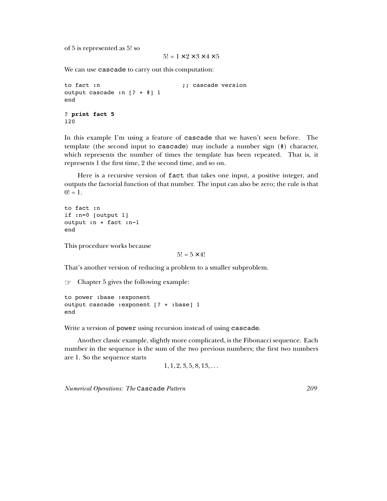of 5 is represented as 5! so

$$
5! = 1 \times 2 \times 3 \times 4 \times 5
$$

We can use **cascade** to carry out this computation:

```
print fact 5
?
to fact :n \qquad \qquad ; cascade version
output cascade :n [? * #] 1
end
120
```
In this example I'm using a feature of **cascade** that we haven't seen before. The template (the second input to **cascade**) may include a number sign (#) character, which represents the number of times the template has been repeated. That is, it represents 1 the first time, 2 the second time, and so on.

Here is a recursive version of fact that takes one input, a positive integer, and outputs the factorial function of that number. The input can also be zero; the rule is that  $0! = 1.$ 

```
to fact :n
if :n=0 [output 1]
output :n * fact :n-1
end
```
This procedure works because

 $5! = 5 \times 4!$ 

That's another version of reducing a problem to a smaller subproblem.

☞ Chapter 5 gives the following example:

```
to power :base :exponent
output cascade :exponent [? * :base] 1
end
```
Write a version of power using recursion instead of using cascade.

Another classic example, slightly more complicated, is the Fibonacci sequence. Each number in the sequence is the sum of the two previous numbers; the first two numbers are 1. So the sequence starts

$$
1, 1, 2, 3, 5, 8, 13, \ldots
$$

*Numerical Operations: The* **Cascade** *Pattern Pattern Patternal <i>Patternal Algonia <i>Patternal <i>Algonia <i>Patternal <i>Patternal 209*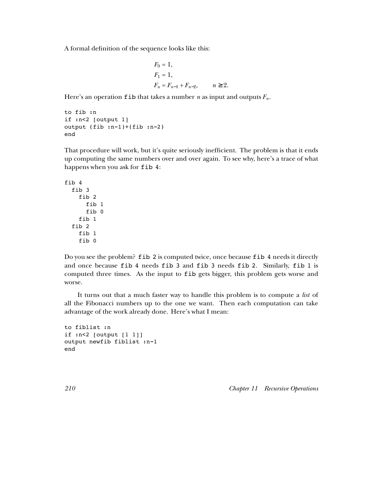A formal definition of the sequence looks like this:

$$
F_0 = 1,
$$
  
\n
$$
F_1 = 1,
$$
  
\n
$$
F_n = F_{n-1} + F_{n-2}, \qquad n \ge 2.
$$

Here's an operation  $\mathtt{fib}$  that takes a number  $n$  as input and outputs  $F_n.$ 

```
to fib :n
if :n<2 [output 1]
output (fib :n-1)+(fib :n-2)
end
```
happens when you ask for fib 4: That procedure will work, but it's quite seriously inefficient. The problem is that it ends up computing the same numbers over and over again. To see why, here's a trace of what

fib 4 fib 3 fib 2 fib 1 fib 0 fib 1 fib 2 fib 1 fib 0

Do you see the problem?  $\mathtt{fib 2}$  is computed twice, once because  $\mathtt{fib 4}$  needs it directly and once because <code>fib 4</code> needs <code>fib 3</code> and <code>fib 3</code> needs <code>fib 2</code> . Similarly, <code>fib 1</code> is computed three times. As the input to fib gets bigger, this problem gets worse and worse.

It turns out that a much faster way to handle this problem is to compute a *list* of all the Fibonacci numbers up to the one we want. Then each computation can take advantage of the work already done. Here's what I mean:

```
to fiblist :n
if :n<2 [output [1 1]]
output newfib fiblist :n-1
end
```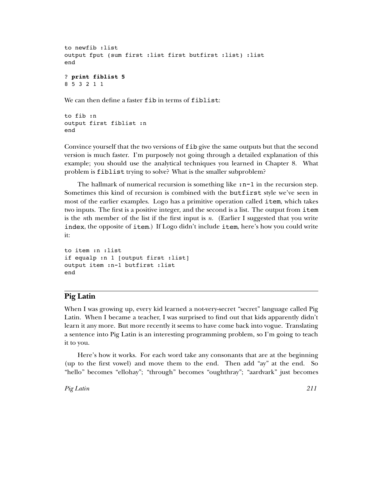```
print fiblist 5
?
to newfib :list
output fput (sum first :list first butfirst :list) :list
end
8 5 3 2 1 1
```
We can then define a faster  $\mathtt{fib}$  in terms of  $\mathtt{fiblist:}$ 

to fib :n output first fiblist :n end

Convince yourself that the two versions of fib give the same outputs but that the second problem is fiblist trying to solve? What is the smaller subproblem? version is much faster. I'm purposely not going through a detailed explanation of this example; you should use the analytical techniques you learned in Chapter 8. What

is the *n*th member of the list if the first input is *n*. (Earlier I suggested that you write The hallmark of numerical recursion is something like :n-1 in the recursion step. Sometimes this kind of recursion is combined with the butfirst style we've seen in most of the earlier examples. Logo has a primitive operation called item, which takes two inputs. The first is a positive integer, and the second is a list. The output from <code>item</code> index, the opposite of item.) If Logo didn't include item, here's how you could write it:

```
to item :n :list
if equalp :n 1 [output first :list]
output item :n-1 butfirst :list
end
```
# **Pig Latin**

When I was growing up, every kid learned a not-very-secret "secret" language called Pig Latin. When I became a teacher, I was surprised to find out that kids apparently didn't learn it any more. But more recently it seems to have come back into vogue. Translating a sentence into Pig Latin is an interesting programming problem, so I'm going to teach it to you.

Here's how it works. For each word take any consonants that are at the beginning (up to the first vowel) and move them to the end. Then add "ay" at the end. So "hello" becomes "ellohay"; "through" becomes "oughthray"; "aardvark" just becomes

*Pig Latin 211*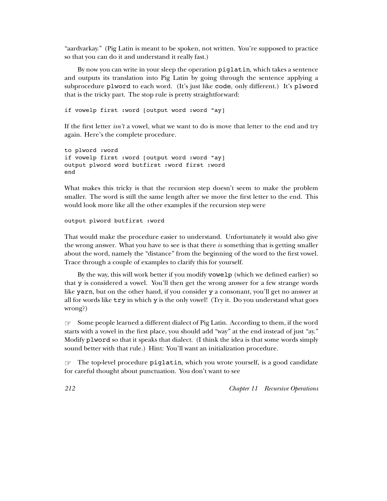"aardvarkay." (Pig Latin is meant to be spoken, not written. You're supposed to practice so that you can do it and understand it really fast.)

By now you can write in your sleep the operation  $\mathtt{pidalain}$ , which takes a sentence subprocedure <code>plword</code> to each word. (It's just like <code>code</code>, only different.) It's <code>plword</code> and outputs its translation into Pig Latin by going through the sentence applying a that is the tricky part. The stop rule is pretty straightforward:

if vowelp first :word [output word :word "ay]

If the first letter *isn't* a vowel, what we want to do is move that letter to the end and try again. Here's the complete procedure.

```
to plword :word
if vowelp first :word [output word :word "ay]
output plword word butfirst :word first :word
end
```
What makes this tricky is that the recursion step doesn't seem to make the problem smaller. The word is still the same length after we move the first letter to the end. This would look more like all the other examples if the recursion step were

```
output plword butfirst :word
```
the wrong answer. What you have to see is that there is something that is getting smaller That would make the procedure easier to understand. Unfortunately it would also give about the word, namely the "distance" from the beginning of the word to the first vowel. Trace through a couple of examples to clarify this for yourself.

By the way, this will work better if you modify vowelp (which we defined earlier) so that y is considered a vowel. You'll then get the wrong answer for a few strange words like  ${\tt {yarn}},$  but on the other hand, if you consider  ${\tt y}$  a consonant, you'll get no answer at all for words like  $\tt try$  in which  $y$  is the only vowel! (Try it. Do you understand what goes wrong?)

☞ Some people learned a different dialect of Pig Latin. According to them, if the word Modify  ${\tt plword}$  so that it speaks that dialect.  ${\tt (I\, think\, the\, idea\, is\, that\, some\, words\, simply}$ starts with a vowel in the first place, you should add "way" at the end instead of just "ay." sound better with that rule.) Hint: You'll want an initialization procedure.

☞ piglatin The top-level procedure , which you wrote yourself, is a good candidate for careful thought about punctuation. You don't want to see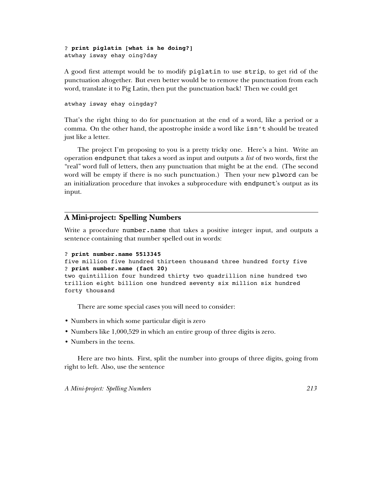#### **print piglatin [what is he doing?]** ? atwhay isway ehay oing?day

A good first attempt would be to modify  $\vec{p}$  piglatin to use  $\vec{s}$  trip, to get rid of the punctuation altogether. But even better would be to remove the punctuation from each word, translate it to Pig Latin, then put the punctuation back! Then we could get

```
atwhay isway ehay oingday?
```
comma. On the other hand, the apostrophe inside a word like  $\texttt{isn't}$  should be treated That's the right thing to do for punctuation at the end of a word, like a period or a just like a letter.

operation endpunct that takes a word as input and outputs a *list* of two words, first the word will be empty if there is no such punctuation.) Then your new plword can be an initialization procedure that invokes a subprocedure with endpunct's output as its The project I'm proposing to you is a pretty tricky one. Here's a hint. Write an "real" word full of letters, then any punctuation that might be at the end. (The second input.

# **A Mini-project: Spelling Numbers**

Write a procedure number.name that takes a positive integer input, and outputs a sentence containing that number spelled out in words:

```
print number.name 5513345
?
print number.name (fact 20)
?
five million five hundred thirteen thousand three hundred forty five
two quintillion four hundred thirty two quadrillion nine hundred two
trillion eight billion one hundred seventy six million six hundred
forty thousand
```
There are some special cases you will need to consider:

- Numbers in which some particular digit is zero
- Numbers like 1,000,529 in which an entire group of three digits is zero.
- Numbers in the teens.

Here are two hints. First, split the number into groups of three digits, going from right to left. Also, use the sentence

*A Mini-project: Spelling Numbers 213*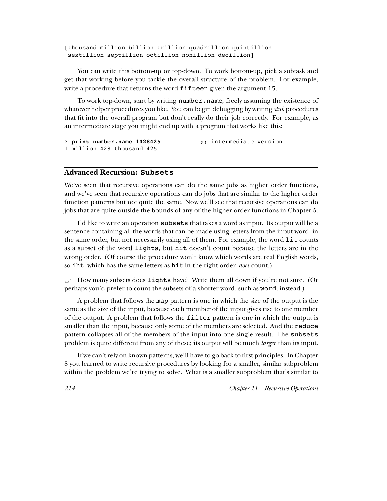[thousand million billion trillion quadrillion quintillion sextillion septillion octillion nonillion decillion]

write a procedure that returns the word fifteen given the argument 15. You can write this bottom-up or top-down. To work bottom-up, pick a subtask and get that working before you tackle the overall structure of the problem. For example,

whatever helper procedures you like. You can begin debugging by writing *stub* procedures To work top-down, start by writing number.name, freely assuming the existence of that fit into the overall program but don't really do their job correctly. For example, as an intermediate stage you might end up with a program that works like this:

```
? print number.name 1428425 :; intermediate version
1 million 428 thousand 425
```
#### **Advanced Recursion: Subsets**

We've seen that recursive operations can do the same jobs as higher order functions, and we've seen that recursive operations can do jobs that are similar to the higher order function patterns but not quite the same. Now we'll see that recursive operations can do jobs that are quite outside the bounds of any of the higher order functions in Chapter 5.

so iht, which has the same letters as hit in the right order, does count.) I'd like to write an operation  ${\tt subsets}$  that takes a word as input. Its output will be a the same order, but not necessarily using all of them. For example, the word lit counts as a subset of the word lights, but hit doesn't count because the letters are in the sentence containing all the words that can be made using letters from the input word, in wrong order. (Of course the procedure won't know which words are real English words,

☞ lights How many subsets does have? Write them all down if you're not sure. (Or perhaps you'd prefer to count the subsets of a shorter word, such as word, instead.)

problem is quite different from any of these; its output will be much *larger than its input.* A problem that follows the map pattern is one in which the size of the output is the of the output. A problem that follows the filter pattern is one in which the output is smaller than the input, because only some of the members are selected. And the <code>reduce</code> pattern collapses all of the members of the input into one single result. The subsets same as the size of the input, because each member of the input gives rise to one member

If we can't rely on known patterns, we'll have to go back to first principles. In Chapter 8 you learned to write recursive procedures by looking for a smaller, similar subproblem within the problem we're trying to solve. What is a smaller subproblem that's similar to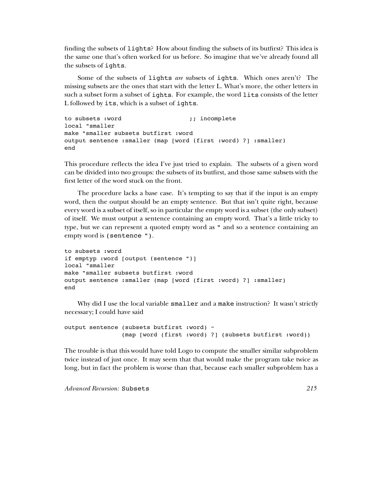finding the subsets of lights? How about finding the subsets of its butfirst? This idea is the subsets of ights. the same one that's often worked for us before. So imagine that we've already found all

Some of the subsets of lights are subsets of ights. Which ones aren't? The such a subset form a subset of ights. For example, the word lits consists of the letter  $L$  followed by its, which is a subset of ights. missing subsets are the ones that start with the letter L. What's more, the other letters in

```
to subsets :word ; ;; incomplete
local "smaller
make "smaller subsets butfirst :word
output sentence :smaller (map [word (first :word) ?] :smaller)
end
```
This procedure reflects the idea I've just tried to explain. The subsets of a given word can be divided into two groups: the subsets of its butfirst, and those same subsets with the first letter of the word stuck on the front.

type, but we can represent a quoted empty word as " and so a sentence containing an empty word is (sentence "). The procedure lacks a base case. It's tempting to say that if the input is an empty word, then the output should be an empty sentence. But that isn't quite right, because every word is a subset of itself, so in particular the empty word is a subset (the only subset) of itself. We must output a sentence containing an empty word. That's a little tricky to

```
to subsets :word
if emptyp :word [output (sentence ")]
local "smaller
make "smaller subsets butfirst :word
output sentence :smaller (map [word (first :word) ?] :smaller)
end
```
Why did I use the local variable  ${\tt smaller}$  and a  ${\tt make}$  instruction? It wasn't strictly necessary; I could have said

```
output sentence (subsets butfirst :word) ~
                (map [word (first :word) ?] (subsets butfirst :word))
```
The trouble is that this would have told Logo to compute the smaller similar subproblem twice instead of just once. It may seem that that would make the program take twice as long, but in fact the problem is worse than that, because each smaller subproblem has a

*Advanced Recursion: 215* Subsets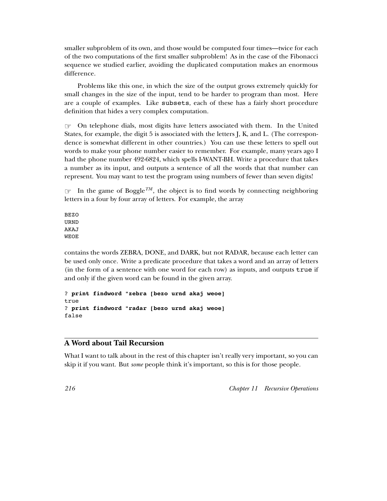smaller subproblem of its own, and those would be computed four times—twice for each of the two computations of the first smaller subproblem! As in the case of the Fibonacci sequence we studied earlier, avoiding the duplicated computation makes an enormous difference.

are a couple of examples. Like subsets, each of these has a fairly short procedure Problems like this one, in which the size of the output grows extremely quickly for small changes in the size of the input, tend to be harder to program than most. Here definition that hides a very complex computation.

☞ On telephone dials, most digits have letters associated with them. In the United States, for example, the digit 5 is associated with the letters J, K, and L. (The correspondence is somewhat different in other countries.) You can use these letters to spell out words to make your phone number easier to remember. For example, many years ago I had the phone number 492-6824, which spells I-WANT-BH. Write a procedure that takes a number as its input, and outputs a sentence of all the words that that number can represent. You may want to test the program using numbers of fewer than seven digits!

☞ *TM* In the game of Boggle , the object is to find words by connecting neighboring letters in a four by four array of letters. For example, the array

BEZO URND AKAJ WEOE

(in the form of a sentence with one word for each row) as inputs, and outputs true if contains the words ZEBRA, DONE, and DARK, but not RADAR, because each letter can be used only once. Write a predicate procedure that takes a word and an array of letters and only if the given word can be found in the given array.

```
?
print findword "zebra [bezo urnd akaj weoe]
true
?
print findword "radar [bezo urnd akaj weoe]
false
```
# **A Word about Tail Recursion**

skip it if you want. But *some* people think it's important, so this is for those people. What I want to talk about in the rest of this chapter isn't really very important, so you can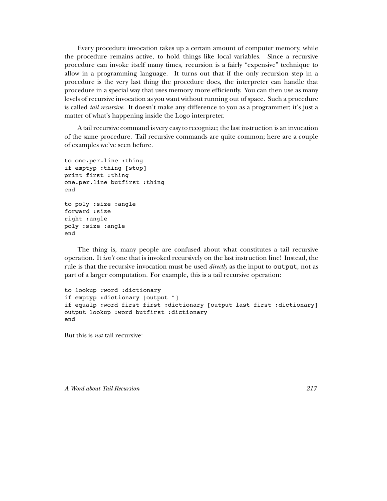is called *tail recursive*. It doesn't make any difference to you as a programmer; it's just a Every procedure invocation takes up a certain amount of computer memory, while the procedure remains active, to hold things like local variables. Since a recursive procedure can invoke itself many times, recursion is a fairly "expensive" technique to allow in a programming language. It turns out that if the only recursion step in a procedure is the very last thing the procedure does, the interpreter can handle that procedure in a special way that uses memory more efficiently. You can then use as many levels of recursive invocation as you want without running out of space. Such a procedure matter of what's happening inside the Logo interpreter.

A tail recursive command is very easy to recognize; the last instruction is an invocation of the same procedure. Tail recursive commands are quite common; here are a couple of examples we've seen before.

```
to one.per.line :thing
if emptyp :thing [stop]
print first :thing
one.per.line butfirst :thing
end
to poly :size :angle
forward :size
right :angle
poly :size :angle
end
```
rule is that the recursive invocation must be used *directly* as the input to output, not as operation. It *isn't* one that is invoked recursively on the last instruction line! Instead, the The thing is, many people are confused about what constitutes a tail recursive part of a larger computation. For example, this is a tail recursive operation:

```
to lookup :word :dictionary
if emptyp :dictionary [output "]
if equalp :word first first :dictionary [output last first :dictionary]
output lookup :word butfirst :dictionary
end
```
But this is *not* tail recursive:

*A Word about Tail Recursion 217*